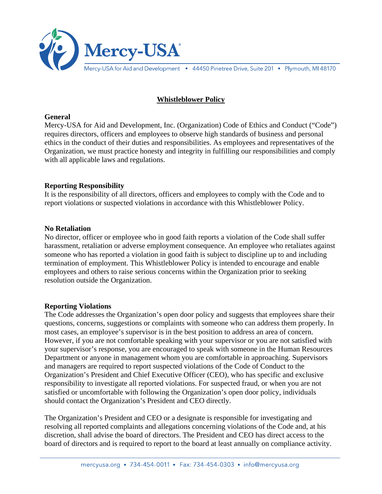

# **Whistleblower Policy**

#### **General**

Mercy-USA for Aid and Development, Inc. (Organization) Code of Ethics and Conduct ("Code") requires directors, officers and employees to observe high standards of business and personal ethics in the conduct of their duties and responsibilities. As employees and representatives of the Organization, we must practice honesty and integrity in fulfilling our responsibilities and comply with all applicable laws and regulations.

### **Reporting Responsibility**

It is the responsibility of all directors, officers and employees to comply with the Code and to report violations or suspected violations in accordance with this Whistleblower Policy.

#### **No Retaliation**

No director, officer or employee who in good faith reports a violation of the Code shall suffer harassment, retaliation or adverse employment consequence. An employee who retaliates against someone who has reported a violation in good faith is subject to discipline up to and including termination of employment. This Whistleblower Policy is intended to encourage and enable employees and others to raise serious concerns within the Organization prior to seeking resolution outside the Organization.

#### **Reporting Violations**

The Code addresses the Organization's open door policy and suggests that employees share their questions, concerns, suggestions or complaints with someone who can address them properly. In most cases, an employee's supervisor is in the best position to address an area of concern. However, if you are not comfortable speaking with your supervisor or you are not satisfied with your supervisor's response, you are encouraged to speak with someone in the Human Resources Department or anyone in management whom you are comfortable in approaching. Supervisors and managers are required to report suspected violations of the Code of Conduct to the Organization's President and Chief Executive Officer (CEO), who has specific and exclusive responsibility to investigate all reported violations. For suspected fraud, or when you are not satisfied or uncomfortable with following the Organization's open door policy, individuals should contact the Organization's President and CEO directly.

The Organization's President and CEO or a designate is responsible for investigating and resolving all reported complaints and allegations concerning violations of the Code and, at his discretion, shall advise the board of directors. The President and CEO has direct access to the board of directors and is required to report to the board at least annually on compliance activity.